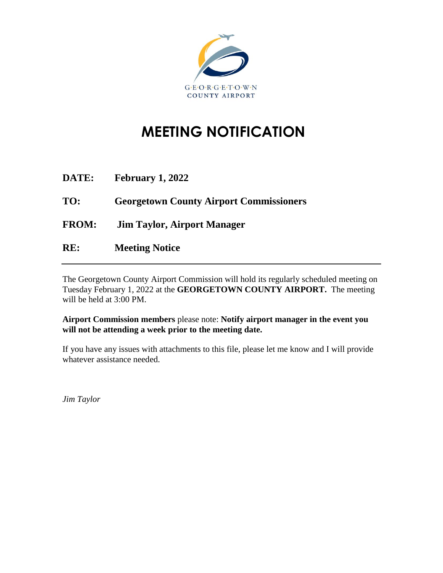

# **MEETING NOTIFICATION**

| <b>DATE:</b> | <b>February 1, 2022</b>                        |
|--------------|------------------------------------------------|
| TO:          | <b>Georgetown County Airport Commissioners</b> |
| <b>FROM:</b> | <b>Jim Taylor, Airport Manager</b>             |
| RE:          | <b>Meeting Notice</b>                          |

The Georgetown County Airport Commission will hold its regularly scheduled meeting on Tuesday February 1, 2022 at the **GEORGETOWN COUNTY AIRPORT.** The meeting will be held at 3:00 PM.

**Airport Commission members** please note: **Notify airport manager in the event you will not be attending a week prior to the meeting date.**

If you have any issues with attachments to this file, please let me know and I will provide whatever assistance needed.

*Jim Taylor*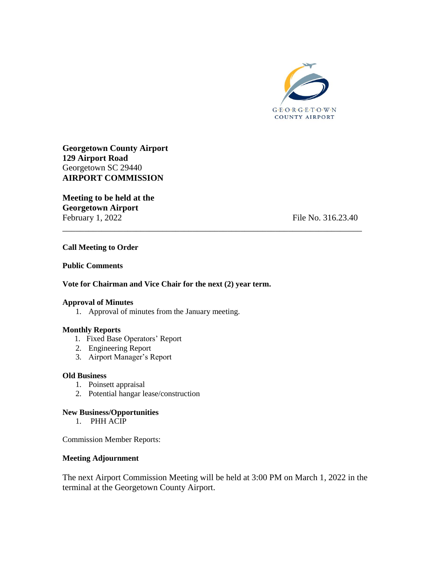

**Georgetown County Airport 129 Airport Road** Georgetown SC 29440 **AIRPORT COMMISSION**

**Meeting to be held at the Georgetown Airport** February 1, 2022 February 1, 2022

### **Call Meeting to Order**

### **Public Comments**

### **Vote for Chairman and Vice Chair for the next (2) year term.**

### **Approval of Minutes**

1. Approval of minutes from the January meeting.

### **Monthly Reports**

- 1. Fixed Base Operators' Report
- 2. Engineering Report
- 3. Airport Manager's Report

### **Old Business**

- 1. Poinsett appraisal
- 2. Potential hangar lease/construction

### **New Business/Opportunities**

1. PHH ACIP

Commission Member Reports:

### **Meeting Adjournment**

The next Airport Commission Meeting will be held at 3:00 PM on March 1, 2022 in the terminal at the Georgetown County Airport.

\_\_\_\_\_\_\_\_\_\_\_\_\_\_\_\_\_\_\_\_\_\_\_\_\_\_\_\_\_\_\_\_\_\_\_\_\_\_\_\_\_\_\_\_\_\_\_\_\_\_\_\_\_\_\_\_\_\_\_\_\_\_\_\_\_\_\_\_\_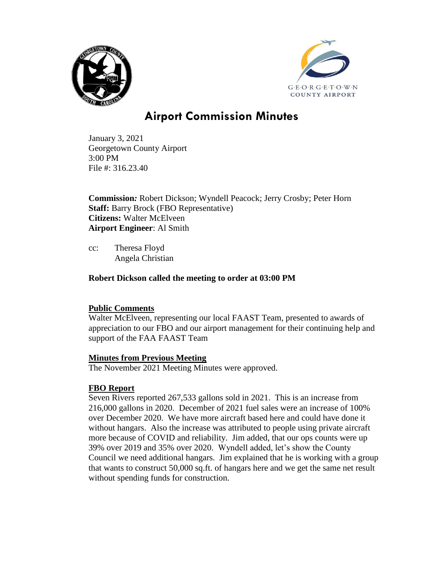



# **Airport Commission Minutes**

January 3, 2021 Georgetown County Airport 3:00 PM File #: 316.23.40

**Commission***:* Robert Dickson; Wyndell Peacock; Jerry Crosby; Peter Horn **Staff:** Barry Brock (FBO Representative) **Citizens:** Walter McElveen **Airport Engineer**: Al Smith

cc: Theresa Floyd Angela Christian

# **Robert Dickson called the meeting to order at 03:00 PM**

# **Public Comments**

Walter McElveen, representing our local FAAST Team, presented to awards of appreciation to our FBO and our airport management for their continuing help and support of the FAA FAAST Team

# **Minutes from Previous Meeting**

The November 2021 Meeting Minutes were approved.

# **FBO Report**

Seven Rivers reported 267,533 gallons sold in 2021. This is an increase from 216,000 gallons in 2020. December of 2021 fuel sales were an increase of 100% over December 2020. We have more aircraft based here and could have done it without hangars. Also the increase was attributed to people using private aircraft more because of COVID and reliability. Jim added, that our ops counts were up 39% over 2019 and 35% over 2020. Wyndell added, let's show the County Council we need additional hangars. Jim explained that he is working with a group that wants to construct 50,000 sq.ft. of hangars here and we get the same net result without spending funds for construction.